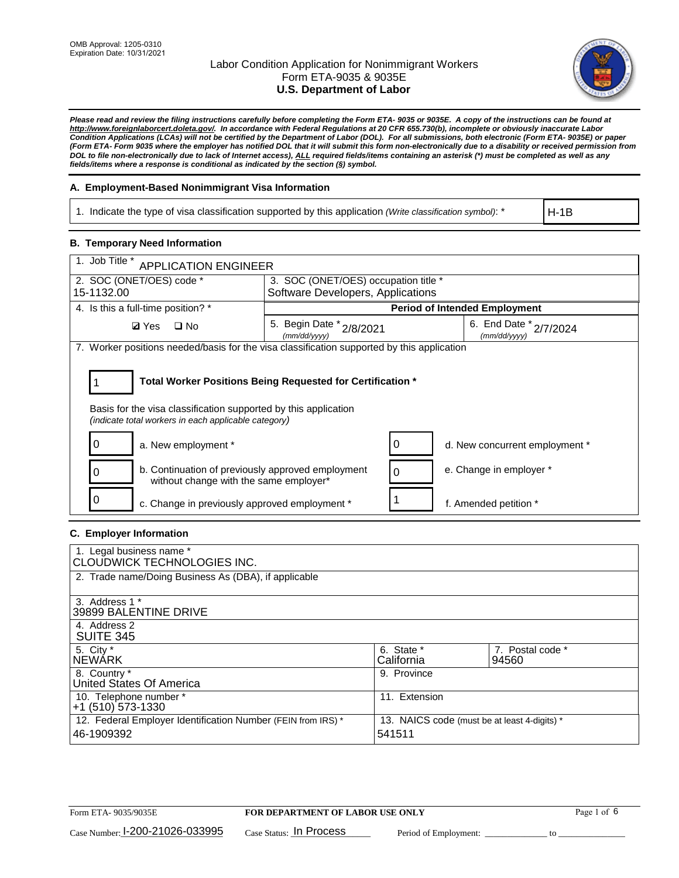

*Please read and review the filing instructions carefully before completing the Form ETA- 9035 or 9035E. A copy of the instructions can be found at [http://www.foreignlaborcert.doleta.gov/.](http://www.foreignlaborcert.doleta.gov/) In accordance with Federal Regulations at 20 CFR 655.730(b), incomplete or obviously inaccurate Labor Condition Applications (LCAs) will not be certified by the Department of Labor (DOL). For all submissions, both electronic (Form ETA- 9035E) or paper (Form ETA- Form 9035 where the employer has notified DOL that it will submit this form non-electronically due to a disability or received permission from DOL to file non-electronically due to lack of Internet access), ALL required fields/items containing an asterisk (\*) must be completed as well as any fields/items where a response is conditional as indicated by the section (§) symbol.* 

## **A. Employment-Based Nonimmigrant Visa Information**

1. Indicate the type of visa classification supported by this application *(Write classification symbol)*: \*

H-1B

## **B. Temporary Need Information**

| 1. Job Title *<br><b>APPLICATION ENGINEER</b>                                                                                                                                         |                                          |                                   |                                            |  |  |  |
|---------------------------------------------------------------------------------------------------------------------------------------------------------------------------------------|------------------------------------------|-----------------------------------|--------------------------------------------|--|--|--|
| 2. SOC (ONET/OES) code *                                                                                                                                                              | 3. SOC (ONET/OES) occupation title *     |                                   |                                            |  |  |  |
| 15-1132.00                                                                                                                                                                            |                                          | Software Developers, Applications |                                            |  |  |  |
| 4. Is this a full-time position? *                                                                                                                                                    |                                          |                                   | <b>Period of Intended Employment</b>       |  |  |  |
| $\Box$ No<br><b>Ø</b> Yes                                                                                                                                                             | 5. Begin Date * 2/8/2021<br>(mm/dd/yyyy) |                                   | 6. End Date $*_{2/7/2024}$<br>(mm/dd/yyyy) |  |  |  |
| 7. Worker positions needed/basis for the visa classification supported by this application                                                                                            |                                          |                                   |                                            |  |  |  |
| Total Worker Positions Being Requested for Certification *<br>Basis for the visa classification supported by this application<br>(indicate total workers in each applicable category) |                                          |                                   |                                            |  |  |  |
| a. New employment *                                                                                                                                                                   |                                          | 0                                 | d. New concurrent employment *             |  |  |  |
| b. Continuation of previously approved employment<br>without change with the same employer*                                                                                           |                                          | 0                                 | e. Change in employer *                    |  |  |  |
| c. Change in previously approved employment *                                                                                                                                         |                                          |                                   | f. Amended petition *                      |  |  |  |

## **C. Employer Information**

| 1. Legal business name *<br>CLOUDWICK TECHNOLOGIES INC.                    |                                                        |                           |
|----------------------------------------------------------------------------|--------------------------------------------------------|---------------------------|
| 2. Trade name/Doing Business As (DBA), if applicable                       |                                                        |                           |
| 3. Address 1 *<br>39899 BALENTINE DRIVE                                    |                                                        |                           |
| 4. Address 2<br><b>SUITE 345</b>                                           |                                                        |                           |
| 5. City *<br>INEWÁRK                                                       | 6. State *<br>California                               | 7. Postal code *<br>94560 |
| 8. Country *<br>United States Of America                                   | 9. Province                                            |                           |
| 10. Telephone number *<br>$+1$ (510) 573-1330                              | 11. Extension                                          |                           |
| 12. Federal Employer Identification Number (FEIN from IRS) *<br>46-1909392 | 13. NAICS code (must be at least 4-digits) *<br>541511 |                           |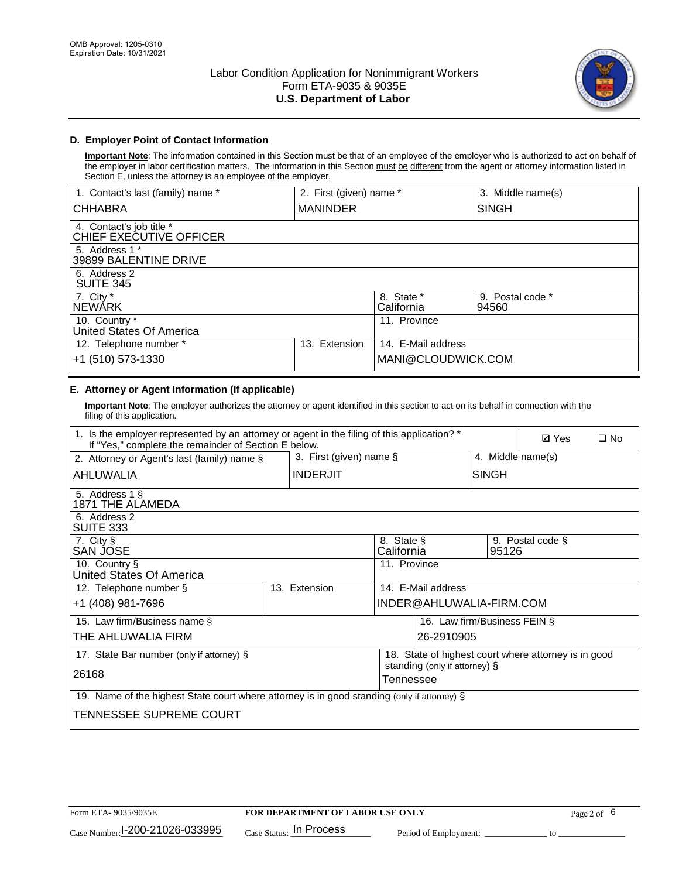

# **D. Employer Point of Contact Information**

**Important Note**: The information contained in this Section must be that of an employee of the employer who is authorized to act on behalf of the employer in labor certification matters. The information in this Section must be different from the agent or attorney information listed in Section E, unless the attorney is an employee of the employer.

| 1. Contact's last (family) name *                   | 2. First (given) name * |                          | 3. Middle name(s)         |
|-----------------------------------------------------|-------------------------|--------------------------|---------------------------|
| <b>CHHABRA</b>                                      | <b>MANINDER</b>         |                          | <b>SINGH</b>              |
| 4. Contact's job title *<br>CHIEF EXECUTIVE OFFICER |                         |                          |                           |
| 5. Address 1 *<br>39899 BALENTINE DRIVE             |                         |                          |                           |
| 6. Address 2<br><b>SUITE 345</b>                    |                         |                          |                           |
| 7. City *<br><b>NEWÁRK</b>                          |                         | 8. State *<br>California | 9. Postal code *<br>94560 |
| 10. Country *<br>United States Of America           |                         | 11. Province             |                           |
| 12. Telephone number *                              | Extension<br>13.        | 14. E-Mail address       |                           |
| +1 (510) 573-1330                                   |                         | MANI@CLOUDWICK.COM       |                           |

# **E. Attorney or Agent Information (If applicable)**

**Important Note**: The employer authorizes the attorney or agent identified in this section to act on its behalf in connection with the filing of this application.

| 1. Is the employer represented by an attorney or agent in the filing of this application? *<br>If "Yes," complete the remainder of Section E below. |  |                            |                          |                               |                              | <b>Ø</b> Yes<br>$\square$ No                         |  |
|-----------------------------------------------------------------------------------------------------------------------------------------------------|--|----------------------------|--------------------------|-------------------------------|------------------------------|------------------------------------------------------|--|
| 2. Attorney or Agent's last (family) name §                                                                                                         |  | 3. First (given) name $\S$ |                          |                               | 4. Middle name(s)            |                                                      |  |
| AHLUWALIA                                                                                                                                           |  | <b>INDERJIT</b>            |                          |                               | <b>SINGH</b>                 |                                                      |  |
| 5. Address 1 §<br>1871 THE ALAMEDA                                                                                                                  |  |                            |                          |                               |                              |                                                      |  |
| 6. Address 2<br>SUITE 333                                                                                                                           |  |                            |                          |                               |                              |                                                      |  |
| 7. City §<br>SAN JOSE                                                                                                                               |  |                            | 8. State §<br>California |                               | 95126                        | 9. Postal code §                                     |  |
| 10. Country §<br>United States Of America                                                                                                           |  |                            | 11. Province             |                               |                              |                                                      |  |
| 12. Telephone number §                                                                                                                              |  | 13. Extension              |                          | 14. E-Mail address            |                              |                                                      |  |
| +1 (408) 981-7696                                                                                                                                   |  |                            |                          | INDER@AHLUWALIA-FIRM.COM      |                              |                                                      |  |
| 15. Law firm/Business name §                                                                                                                        |  |                            |                          |                               | 16. Law firm/Business FEIN § |                                                      |  |
| THE AHLUWALIA FIRM                                                                                                                                  |  |                            |                          | 26-2910905                    |                              |                                                      |  |
| 17. State Bar number (only if attorney) §                                                                                                           |  |                            |                          | standing (only if attorney) § |                              | 18. State of highest court where attorney is in good |  |
| 26168                                                                                                                                               |  |                            | Tennessee                |                               |                              |                                                      |  |
| 19. Name of the highest State court where attorney is in good standing (only if attorney) §                                                         |  |                            |                          |                               |                              |                                                      |  |
| TENNESSEE SUPREME COURT                                                                                                                             |  |                            |                          |                               |                              |                                                      |  |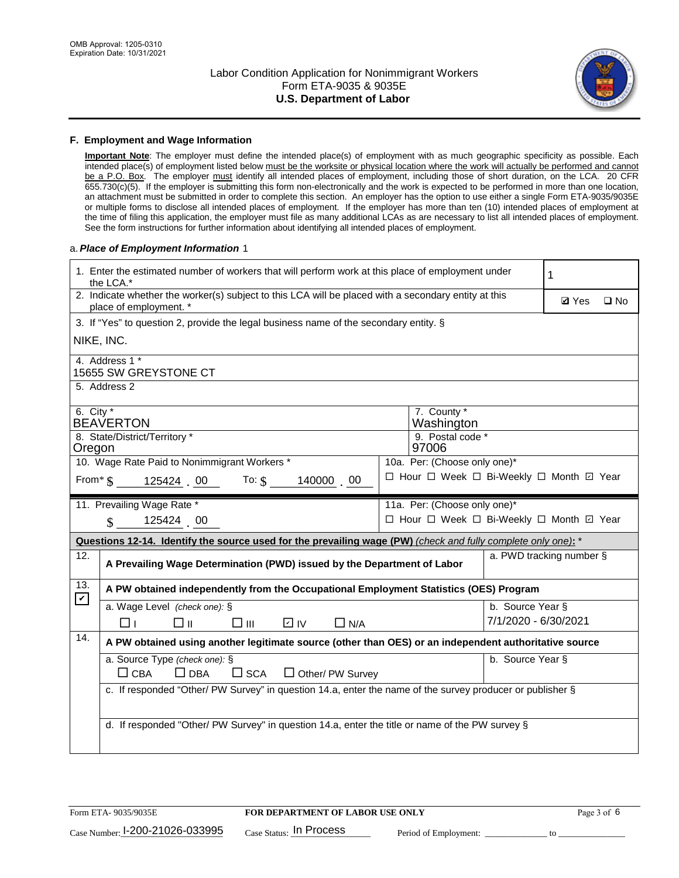

#### **F. Employment and Wage Information**

**Important Note**: The employer must define the intended place(s) of employment with as much geographic specificity as possible. Each intended place(s) of employment listed below must be the worksite or physical location where the work will actually be performed and cannot be a P.O. Box. The employer must identify all intended places of employment, including those of short duration, on the LCA. 20 CFR 655.730(c)(5). If the employer is submitting this form non-electronically and the work is expected to be performed in more than one location, an attachment must be submitted in order to complete this section. An employer has the option to use either a single Form ETA-9035/9035E or multiple forms to disclose all intended places of employment. If the employer has more than ten (10) intended places of employment at the time of filing this application, the employer must file as many additional LCAs as are necessary to list all intended places of employment. See the form instructions for further information about identifying all intended places of employment.

#### a.*Place of Employment Information* 1

|                                                                              | 1. Enter the estimated number of workers that will perform work at this place of employment under<br>the LCA.*                 |  | 1                                        |                      |                          |              |  |
|------------------------------------------------------------------------------|--------------------------------------------------------------------------------------------------------------------------------|--|------------------------------------------|----------------------|--------------------------|--------------|--|
|                                                                              | 2. Indicate whether the worker(s) subject to this LCA will be placed with a secondary entity at this<br>place of employment. * |  |                                          |                      | <b>Ø</b> Yes             | $\square$ No |  |
|                                                                              | 3. If "Yes" to question 2, provide the legal business name of the secondary entity. §                                          |  |                                          |                      |                          |              |  |
|                                                                              | NIKE, INC.                                                                                                                     |  |                                          |                      |                          |              |  |
|                                                                              | 4. Address 1 *<br>15655 SW GREYSTONE CT                                                                                        |  |                                          |                      |                          |              |  |
|                                                                              | 5. Address 2                                                                                                                   |  |                                          |                      |                          |              |  |
|                                                                              | 6. City $*$<br>7. County *<br><b>BEAVERTON</b><br>Washington                                                                   |  |                                          |                      |                          |              |  |
|                                                                              | 8. State/District/Territory *<br>9. Postal code *<br>97006<br>Oregon                                                           |  |                                          |                      |                          |              |  |
| 10. Wage Rate Paid to Nonimmigrant Workers *<br>10a. Per: (Choose only one)* |                                                                                                                                |  |                                          |                      |                          |              |  |
|                                                                              | From $\frac{1}{3}$ 125424 00 To: $\frac{1}{3}$ 140000 00                                                                       |  | □ Hour □ Week □ Bi-Weekly □ Month ☑ Year |                      |                          |              |  |
|                                                                              | 11. Prevailing Wage Rate *<br>11a. Per: (Choose only one)*                                                                     |  |                                          |                      |                          |              |  |
|                                                                              | 125424 00<br>$\mathbf{\$}$                                                                                                     |  | □ Hour □ Week □ Bi-Weekly □ Month ☑ Year |                      |                          |              |  |
|                                                                              | Questions 12-14. Identify the source used for the prevailing wage (PW) (check and fully complete only one): *                  |  |                                          |                      |                          |              |  |
| 12.                                                                          | A Prevailing Wage Determination (PWD) issued by the Department of Labor                                                        |  |                                          |                      | a. PWD tracking number § |              |  |
| 13.                                                                          | A PW obtained independently from the Occupational Employment Statistics (OES) Program                                          |  |                                          |                      |                          |              |  |
| $\mathbf v$                                                                  | a. Wage Level (check one): §                                                                                                   |  |                                          | b. Source Year §     |                          |              |  |
|                                                                              | D IV<br>□⊪<br>$\square$ $\square$<br>$\Box$ N/A<br>□⊥                                                                          |  |                                          | 7/1/2020 - 6/30/2021 |                          |              |  |
| 14.                                                                          | A PW obtained using another legitimate source (other than OES) or an independent authoritative source                          |  |                                          |                      |                          |              |  |
|                                                                              | a. Source Type (check one): §<br>b. Source Year §<br>$\Box$ CBA<br>$\Box$ DBA<br>$\square$ SCA<br>$\Box$ Other/ PW Survey      |  |                                          |                      |                          |              |  |
|                                                                              | c. If responded "Other/ PW Survey" in question 14.a, enter the name of the survey producer or publisher §                      |  |                                          |                      |                          |              |  |
|                                                                              | d. If responded "Other/ PW Survey" in question 14.a, enter the title or name of the PW survey §                                |  |                                          |                      |                          |              |  |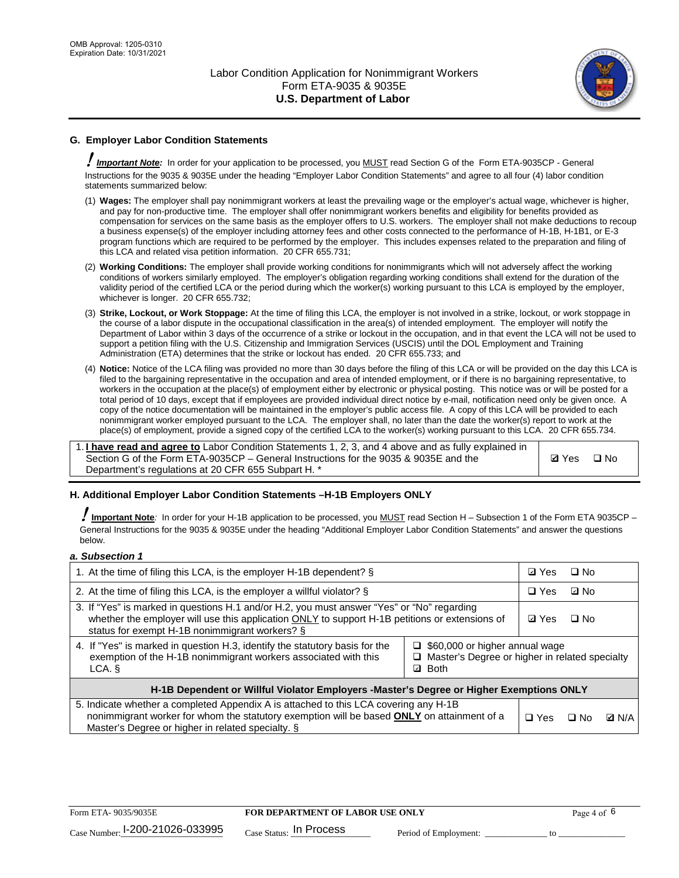

# **G. Employer Labor Condition Statements**

! *Important Note:* In order for your application to be processed, you MUST read Section G of the Form ETA-9035CP - General Instructions for the 9035 & 9035E under the heading "Employer Labor Condition Statements" and agree to all four (4) labor condition statements summarized below:

- (1) **Wages:** The employer shall pay nonimmigrant workers at least the prevailing wage or the employer's actual wage, whichever is higher, and pay for non-productive time. The employer shall offer nonimmigrant workers benefits and eligibility for benefits provided as compensation for services on the same basis as the employer offers to U.S. workers. The employer shall not make deductions to recoup a business expense(s) of the employer including attorney fees and other costs connected to the performance of H-1B, H-1B1, or E-3 program functions which are required to be performed by the employer. This includes expenses related to the preparation and filing of this LCA and related visa petition information. 20 CFR 655.731;
- (2) **Working Conditions:** The employer shall provide working conditions for nonimmigrants which will not adversely affect the working conditions of workers similarly employed. The employer's obligation regarding working conditions shall extend for the duration of the validity period of the certified LCA or the period during which the worker(s) working pursuant to this LCA is employed by the employer, whichever is longer. 20 CFR 655.732;
- (3) **Strike, Lockout, or Work Stoppage:** At the time of filing this LCA, the employer is not involved in a strike, lockout, or work stoppage in the course of a labor dispute in the occupational classification in the area(s) of intended employment. The employer will notify the Department of Labor within 3 days of the occurrence of a strike or lockout in the occupation, and in that event the LCA will not be used to support a petition filing with the U.S. Citizenship and Immigration Services (USCIS) until the DOL Employment and Training Administration (ETA) determines that the strike or lockout has ended. 20 CFR 655.733; and
- (4) **Notice:** Notice of the LCA filing was provided no more than 30 days before the filing of this LCA or will be provided on the day this LCA is filed to the bargaining representative in the occupation and area of intended employment, or if there is no bargaining representative, to workers in the occupation at the place(s) of employment either by electronic or physical posting. This notice was or will be posted for a total period of 10 days, except that if employees are provided individual direct notice by e-mail, notification need only be given once. A copy of the notice documentation will be maintained in the employer's public access file. A copy of this LCA will be provided to each nonimmigrant worker employed pursuant to the LCA. The employer shall, no later than the date the worker(s) report to work at the place(s) of employment, provide a signed copy of the certified LCA to the worker(s) working pursuant to this LCA. 20 CFR 655.734.

1. **I have read and agree to** Labor Condition Statements 1, 2, 3, and 4 above and as fully explained in Section G of the Form ETA-9035CP – General Instructions for the 9035 & 9035E and the Department's regulations at 20 CFR 655 Subpart H. \*

**Ø**Yes ロNo

## **H. Additional Employer Labor Condition Statements –H-1B Employers ONLY**

!**Important Note***:* In order for your H-1B application to be processed, you MUST read Section H – Subsection 1 of the Form ETA 9035CP – General Instructions for the 9035 & 9035E under the heading "Additional Employer Labor Condition Statements" and answer the questions below.

#### *a. Subsection 1*

| 1. At the time of filing this LCA, is the employer H-1B dependent? §                                                                                                                                                                                                    | ⊡ Yes        | $\square$ No |              |  |  |
|-------------------------------------------------------------------------------------------------------------------------------------------------------------------------------------------------------------------------------------------------------------------------|--------------|--------------|--------------|--|--|
| 2. At the time of filing this LCA, is the employer a willful violator? $\S$                                                                                                                                                                                             | $\Box$ Yes   | ⊡ No         |              |  |  |
| 3. If "Yes" is marked in questions H.1 and/or H.2, you must answer "Yes" or "No" regarding<br>whether the employer will use this application ONLY to support H-1B petitions or extensions of<br>status for exempt H-1B nonimmigrant workers? §                          | <b>☑</b> Yes | $\Box$ No    |              |  |  |
| 4. If "Yes" is marked in question H.3, identify the statutory basis for the<br>$\Box$ \$60,000 or higher annual wage<br>exemption of the H-1B nonimmigrant workers associated with this<br>□ Master's Degree or higher in related specialty<br><b>Both</b><br>LCA.<br>☑ |              |              |              |  |  |
| H-1B Dependent or Willful Violator Employers -Master's Degree or Higher Exemptions ONLY                                                                                                                                                                                 |              |              |              |  |  |
| 5. Indicate whether a completed Appendix A is attached to this LCA covering any H-1B<br>nonimmigrant worker for whom the statutory exemption will be based <b>ONLY</b> on attainment of a<br>Master's Degree or higher in related specialty. §                          | $\Box$ Yes   | ⊟ No         | <b>D</b> N/A |  |  |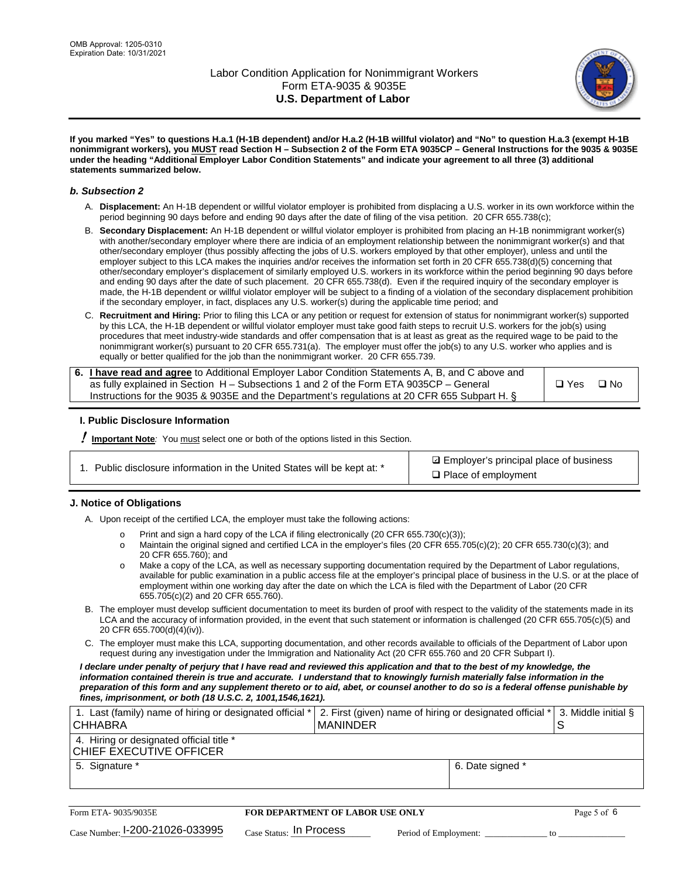

**If you marked "Yes" to questions H.a.1 (H-1B dependent) and/or H.a.2 (H-1B willful violator) and "No" to question H.a.3 (exempt H-1B nonimmigrant workers), you MUST read Section H – Subsection 2 of the Form ETA 9035CP – General Instructions for the 9035 & 9035E under the heading "Additional Employer Labor Condition Statements" and indicate your agreement to all three (3) additional statements summarized below.**

#### *b. Subsection 2*

- A. **Displacement:** An H-1B dependent or willful violator employer is prohibited from displacing a U.S. worker in its own workforce within the period beginning 90 days before and ending 90 days after the date of filing of the visa petition. 20 CFR 655.738(c);
- B. **Secondary Displacement:** An H-1B dependent or willful violator employer is prohibited from placing an H-1B nonimmigrant worker(s) with another/secondary employer where there are indicia of an employment relationship between the nonimmigrant worker(s) and that other/secondary employer (thus possibly affecting the jobs of U.S. workers employed by that other employer), unless and until the employer subject to this LCA makes the inquiries and/or receives the information set forth in 20 CFR 655.738(d)(5) concerning that other/secondary employer's displacement of similarly employed U.S. workers in its workforce within the period beginning 90 days before and ending 90 days after the date of such placement. 20 CFR 655.738(d). Even if the required inquiry of the secondary employer is made, the H-1B dependent or willful violator employer will be subject to a finding of a violation of the secondary displacement prohibition if the secondary employer, in fact, displaces any U.S. worker(s) during the applicable time period; and
- C. **Recruitment and Hiring:** Prior to filing this LCA or any petition or request for extension of status for nonimmigrant worker(s) supported by this LCA, the H-1B dependent or willful violator employer must take good faith steps to recruit U.S. workers for the job(s) using procedures that meet industry-wide standards and offer compensation that is at least as great as the required wage to be paid to the nonimmigrant worker(s) pursuant to 20 CFR 655.731(a). The employer must offer the job(s) to any U.S. worker who applies and is equally or better qualified for the job than the nonimmigrant worker. 20 CFR 655.739.

| 6. I have read and agree to Additional Employer Labor Condition Statements A, B, and C above and |       |           |
|--------------------------------------------------------------------------------------------------|-------|-----------|
| as fully explained in Section H – Subsections 1 and 2 of the Form ETA 9035CP – General           | □ Yes | $\Box$ No |
| Instructions for the 9035 & 9035E and the Department's regulations at 20 CFR 655 Subpart H. §    |       |           |

## **I. Public Disclosure Information**

! **Important Note***:* You must select one or both of the options listed in this Section.

| 1. Public disclosure information in the United States will be kept at: * |  |  |  |  |  |  |
|--------------------------------------------------------------------------|--|--|--|--|--|--|
|--------------------------------------------------------------------------|--|--|--|--|--|--|

**sqrt** Employer's principal place of business □ Place of employment

## **J. Notice of Obligations**

A. Upon receipt of the certified LCA, the employer must take the following actions:

- o Print and sign a hard copy of the LCA if filing electronically (20 CFR 655.730(c)(3));<br>
Maintain the original signed and certified LCA in the employer's files (20 CFR 655.7
- Maintain the original signed and certified LCA in the employer's files (20 CFR 655.705(c)(2); 20 CFR 655.730(c)(3); and 20 CFR 655.760); and
- o Make a copy of the LCA, as well as necessary supporting documentation required by the Department of Labor regulations, available for public examination in a public access file at the employer's principal place of business in the U.S. or at the place of employment within one working day after the date on which the LCA is filed with the Department of Labor (20 CFR 655.705(c)(2) and 20 CFR 655.760).
- B. The employer must develop sufficient documentation to meet its burden of proof with respect to the validity of the statements made in its LCA and the accuracy of information provided, in the event that such statement or information is challenged (20 CFR 655.705(c)(5) and 20 CFR 655.700(d)(4)(iv)).
- C. The employer must make this LCA, supporting documentation, and other records available to officials of the Department of Labor upon request during any investigation under the Immigration and Nationality Act (20 CFR 655.760 and 20 CFR Subpart I).

*I declare under penalty of perjury that I have read and reviewed this application and that to the best of my knowledge, the*  information contained therein is true and accurate. I understand that to knowingly furnish materially false information in the *preparation of this form and any supplement thereto or to aid, abet, or counsel another to do so is a federal offense punishable by fines, imprisonment, or both (18 U.S.C. 2, 1001,1546,1621).*

| 1. Last (family) name of hiring or designated official *<br><b>CHHABRA</b> |                         | <b>MANINDER</b>                         |                       | 2. First (given) name of hiring or designated official * | S  | 3. Middle initial § |
|----------------------------------------------------------------------------|-------------------------|-----------------------------------------|-----------------------|----------------------------------------------------------|----|---------------------|
| 4. Hiring or designated official title *<br>CHIEF EXECUTIVE OFFICER        |                         |                                         |                       |                                                          |    |                     |
| 5. Signature *                                                             |                         |                                         |                       | 6. Date signed *                                         |    |                     |
|                                                                            |                         |                                         |                       |                                                          |    |                     |
| Form ETA-9035/9035E                                                        |                         | <b>FOR DEPARTMENT OF LABOR USE ONLY</b> |                       |                                                          |    | Page 5 of 6         |
| $_{\text{Case Number:}}$ 1-200-21026-033995                                | Case Status: In Process |                                         | Period of Employment: |                                                          | tΩ |                     |